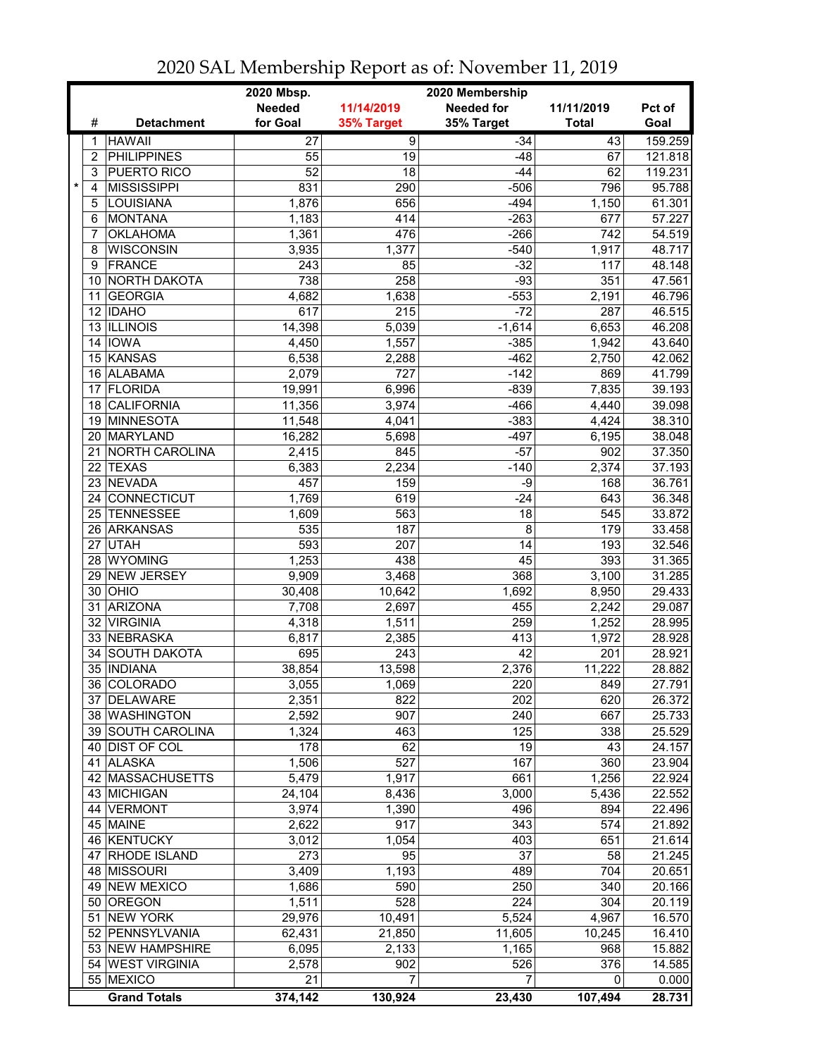|   |                 |                       | 2020 Mbsp.      |                  |                                      |              |         |
|---|-----------------|-----------------------|-----------------|------------------|--------------------------------------|--------------|---------|
|   |                 |                       | <b>Needed</b>   | 11/14/2019       | 2020 Membership<br><b>Needed for</b> | 11/11/2019   | Pct of  |
|   | #               | <b>Detachment</b>     | for Goal        | 35% Target       | 35% Target                           | <b>Total</b> | Goal    |
|   | 1               | <b>HAWAII</b>         | $\overline{27}$ | $\overline{9}$   | $-34$                                | 43           | 159.259 |
|   | $\overline{2}$  | <b>PHILIPPINES</b>    | 55              | 19               | $-48$                                | 67           | 121.818 |
|   | 3               | <b>PUERTO RICO</b>    | $\overline{52}$ | 18               | $-44$                                | 62           | 119.231 |
| * | 4               | <b>MISSISSIPPI</b>    | 831             | 290              | $-506$                               | 796          | 95.788  |
|   | 5               | LOUISIANA             | 1,876           | 656              | $-494$                               | 1,150        | 61.301  |
|   | 6               | <b>MONTANA</b>        | 1,183           | 414              | $-263$                               | 677          | 57.227  |
|   | 7               | <b>OKLAHOMA</b>       | 1,361           | 476              | $-266$                               | 742          | 54.519  |
|   | 8               | <b>WISCONSIN</b>      | 3,935           | 1,377            | $-540$                               | 1,917        | 48.717  |
|   | 9               | <b>FRANCE</b>         | 243             | 85               | $-32$                                | 117          | 48.148  |
|   | 10              | NORTH DAKOTA          | 738             | $\overline{258}$ | $-93$                                | 351          | 47.561  |
|   | 11              | <b>GEORGIA</b>        | 4,682           | 1,638            | $-553$                               | 2,191        | 46.796  |
|   |                 | 12 IDAHO              | 617             | 215              | $-72$                                | 287          | 46.515  |
|   |                 | 13 ILLINOIS           | 14,398          | 5,039            | $-1,614$                             | 6,653        | 46.208  |
|   |                 | 14 IOWA               | 4,450           | 1,557            | $-385$                               | 1,942        | 43.640  |
|   |                 | 15 KANSAS             | 6,538           | 2,288            | $-462$                               | 2,750        | 42.062  |
|   | 16              | ALABAMA               | 2,079           | 727              | $-142$                               | 869          | 41.799  |
|   | 17              | <b>FLORIDA</b>        | 19,991          | 6,996            | $-839$                               | 7,835        | 39.193  |
|   | 18              | <b>CALIFORNIA</b>     | 11,356          | 3,974            | $-466$                               | 4,440        | 39.098  |
|   | 19              | <b>MINNESOTA</b>      | 11,548          | 4,041            | $-383$                               | 4,424        | 38.310  |
|   | 20              | <b>MARYLAND</b>       | 16,282          | 5,698            | $-497$                               | 6,195        | 38.048  |
|   | 21              | <b>NORTH CAROLINA</b> | 2,415           | 845              | $-57$                                | 902          | 37.350  |
|   | 22              | <b>TEXAS</b>          | 6,383           | 2,234            | $-140$                               | 2,374        | 37.193  |
|   | 23              | <b>NEVADA</b>         | 457             | 159              | $-9$                                 | 168          | 36.761  |
|   | 24 <sup>1</sup> | <b>CONNECTICUT</b>    | 1,769           | 619              | $-24$                                | 643          | 36.348  |
|   | 25              | TENNESSEE             | 1,609           | 563              | $\overline{18}$                      | 545          | 33.872  |
|   |                 | 26 ARKANSAS           | 535             | 187              | $\overline{8}$                       | 179          | 33.458  |
|   | 27              | <b>UTAH</b>           | 593             | 207              | $\overline{14}$                      | 193          | 32.546  |
|   |                 | 28 WYOMING            | 1,253           | 438              | 45                                   | 393          | 31.365  |
|   | 29              | NEW JERSEY            | 9,909           | 3,468            | 368                                  | 3,100        | 31.285  |
|   | 30              | OHIO                  | 30,408          | 10,642           | 1,692                                | 8,950        | 29.433  |
|   | 31              | <b>ARIZONA</b>        | 7,708           | 2,697            | 455                                  | 2,242        | 29.087  |
|   | 32              | <b>VIRGINIA</b>       | 4,318           | 1,511            | 259                                  | 1,252        | 28.995  |
|   |                 | 33 NEBRASKA           | 6,817           | 2,385            | 413                                  | 1,972        | 28.928  |
|   | 34              | <b>SOUTH DAKOTA</b>   | 695             | 243              | 42                                   | 201          | 28.921  |
|   | 35              | <b>INDIANA</b>        | 38,854          | 13,598           | 2,376                                | 11,222       | 28.882  |
|   |                 | 36 COLORADO           | 3,055           | 1,069            | 220                                  | 849          | 27.791  |
|   |                 | 37 DELAWARE           | 2,351           | 822              | 202                                  | 620          | 26.372  |
|   |                 | 38 WASHINGTON         | 2,592           | 907              | 240                                  | 667          | 25.733  |
|   |                 | 39 SOUTH CAROLINA     | 1,324           | 463              | 125                                  | 338          | 25.529  |
|   |                 | 40 DIST OF COL        | 178             | 62               | 19                                   | 43           | 24.157  |
|   |                 | 41 ALASKA             | 1,506           | 527              | 167                                  | 360          | 23.904  |
|   |                 | 42 MASSACHUSETTS      | 5,479           | 1,917            | 661                                  | 1,256        | 22.924  |
|   |                 | 43 MICHIGAN           | 24,104          | 8,436            | 3,000                                | 5,436        | 22.552  |
|   |                 | 44 VERMONT            | 3,974           | 1,390            | 496                                  | 894          | 22.496  |
|   |                 | 45 MAINE              | 2,622           | $\overline{917}$ | 343                                  | 574          | 21.892  |
|   |                 | 46 KENTUCKY           | 3,012           | 1,054            | 403                                  | 651          | 21.614  |
|   | 47              | RHODE ISLAND          | 273             | 95               | 37                                   | 58           | 21.245  |
|   |                 | 48 MISSOURI           | 3,409           | 1,193            | 489                                  | 704          | 20.651  |
|   |                 | 49 NEW MEXICO         | 1,686           | 590              | 250                                  | 340          | 20.166  |
|   |                 | 50 OREGON             | 1,511           | 528              | 224                                  | 304          | 20.119  |
|   | 51              | <b>NEW YORK</b>       | 29,976          | 10,491           | 5,524                                | 4,967        | 16.570  |
|   |                 | 52 PENNSYLVANIA       | 62,431          | 21,850           | 11,605                               | 10,245       | 16.410  |
|   |                 | 53 NEW HAMPSHIRE      | 6,095           | 2,133            | 1,165                                | 968          | 15.882  |
|   |                 | 54 WEST VIRGINIA      | 2,578           | 902              | 526                                  | 376          | 14.585  |
|   |                 | 55 MEXICO             | 21              | 7                | 7                                    | 0            | 0.000   |
|   |                 |                       |                 | 130,924          |                                      | 107,494      | 28.731  |
|   |                 | <b>Grand Totals</b>   | 374,142         |                  | 23,430                               |              |         |

2020 SAL Membership Report as of: November 11, 2019